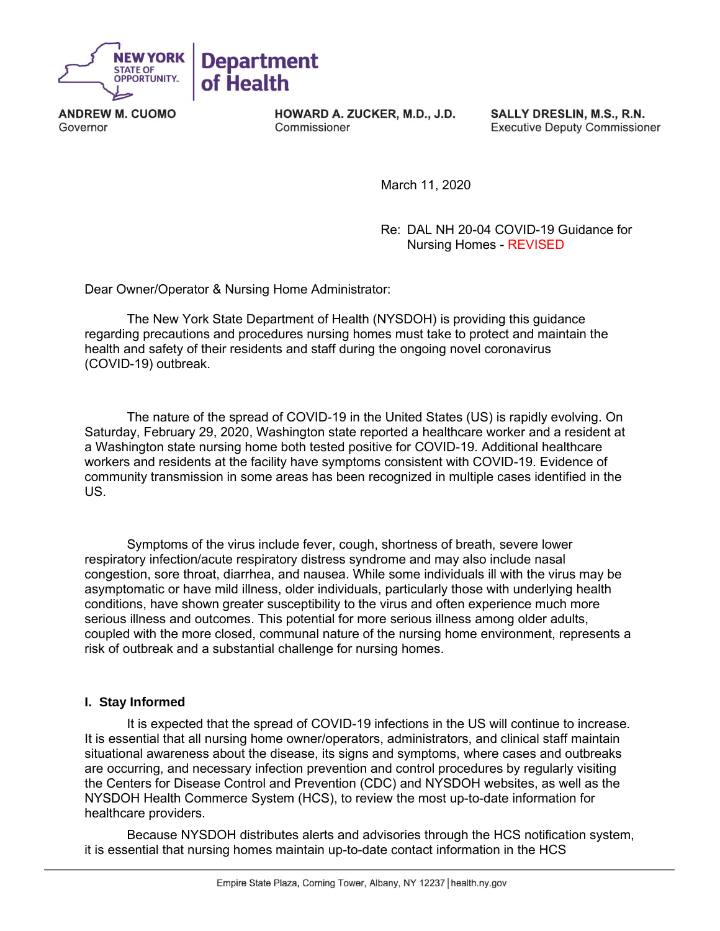

**ANDREW M. CUOMO** Governor

HOWARD A. ZUCKER, M.D., J.D. Commissioner

SALLY DRESLIN, M.S., R.N. **Executive Deputy Commissioner** 

March 11, 2020

Re: DAL NH 20-04 COVID-19 Guidance for Nursing Homes - REVISED

Dear Owner/Operator & Nursing Home Administrator:

The New York State Department of Health (NYSDOH) is providing this guidance regarding precautions and procedures nursing homes must take to protect and maintain the health and safety of their residents and staff during the ongoing novel coronavirus (COVID-19) outbreak.

The nature of the spread of COVID-19 in the United States (US) is rapidly evolving. On Saturday, February 29, 2020, Washington state reported a healthcare worker and a resident at a Washington state nursing home both tested positive for COVID-19. Additional healthcare workers and residents at the facility have symptoms consistent with COVID-19. Evidence of community transmission in some areas has been recognized in multiple cases identified in the US.

Symptoms of the virus include fever, cough, shortness of breath, severe lower respiratory infection/acute respiratory distress syndrome and may also include nasal congestion, sore throat, diarrhea, and nausea. While some individuals ill with the virus may be asymptomatic or have mild illness, older individuals, particularly those with underlying health conditions, have shown greater susceptibility to the virus and often experience much more serious illness and outcomes. This potential for more serious illness among older adults, coupled with the more closed, communal nature of the nursing home environment, represents a risk of outbreak and a substantial challenge for nursing homes.

# **I.****Stay Informed**

It is expected that the spread of COVID-19 infections in the US will continue to increase. It is essential that all nursing home owner/operators, administrators, and clinical staff maintain situational awareness about the disease, its signs and symptoms, where cases and outbreaks are occurring, and necessary infection prevention and control procedures by regularly visiting the Centers for Disease Control and Prevention (CDC) and NYSDOH websites, as well as the NYSDOH Health Commerce System (HCS), to review the most up-to-date information for healthcare providers.

Because NYSDOH distributes alerts and advisories through the HCS notification system, it is essential that nursing homes maintain up-to-date contact information in the HCS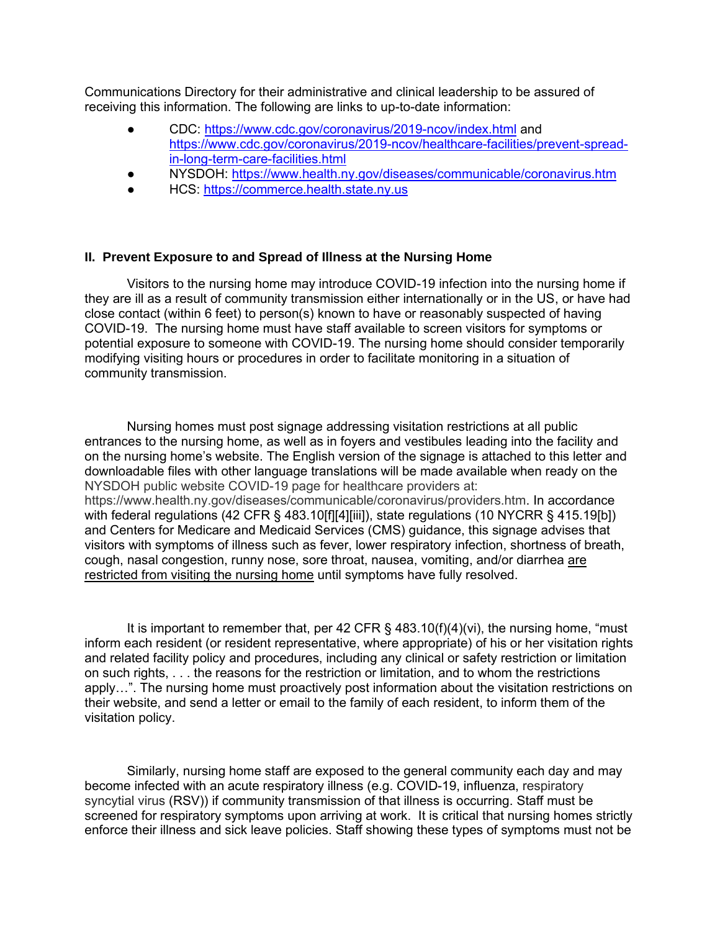Communications Directory for their administrative and clinical leadership to be assured of receiving this information. The following are links to up-to-date information:

- CDC:<https://www.cdc.gov/coronavirus/2019-ncov/index.html> and [https://www.cdc.gov/coronavirus/2019-ncov/healthcare-facilities/prevent-spread](https://www.cdc.gov/coronavirus/2019-ncov/healthcare-facilities/prevent-spread-in-long-term-care-facilities.html)[in-long-term-care-facilities.html](https://www.cdc.gov/coronavirus/2019-ncov/healthcare-facilities/prevent-spread-in-long-term-care-facilities.html)
- NYSDOH:<https://www.health.ny.gov/diseases/communicable/coronavirus.htm>
- HCS: [https://commerce.health.state.ny.us](https://commerce.health.state.ny.us/)

#### **II. Prevent Exposure to and Spread of Illness at the Nursing Home**

Visitors to the nursing home may introduce COVID-19 infection into the nursing home if they are ill as a result of community transmission either internationally or in the US, or have had close contact (within 6 feet) to person(s) known to have or reasonably suspected of having COVID-19. The nursing home must have staff available to screen visitors for symptoms or potential exposure to someone with COVID-19. The nursing home should consider temporarily modifying visiting hours or procedures in order to facilitate monitoring in a situation of community transmission.

Nursing homes must post signage addressing visitation restrictions at all public entrances to the nursing home, as well as in foyers and vestibules leading into the facility and on the nursing home's website. The English version of the signage is attached to this letter and downloadable files with other language translations will be made available when ready on the NYSDOH public website COVID-19 page for healthcare providers at: https://www.health.ny.gov/diseases/communicable/coronavirus/providers.htm. In accordance with federal regulations (42 CFR § 483.10[f][4][iii]), state regulations (10 NYCRR § 415.19[b]) and Centers for Medicare and Medicaid Services (CMS) guidance, this signage advises that visitors with symptoms of illness such as fever, lower respiratory infection, shortness of breath, cough, nasal congestion, runny nose, sore throat, nausea, vomiting, and/or diarrhea are restricted from visiting the nursing home until symptoms have fully resolved.

It is important to remember that, per 42 CFR § 483.10(f)(4)(vi), the nursing home, "must inform each resident (or resident representative, where appropriate) of his or her visitation rights and related facility policy and procedures, including any clinical or safety restriction or limitation on such rights, . . . the reasons for the restriction or limitation, and to whom the restrictions apply…". The nursing home must proactively post information about the visitation restrictions on their website, and send a letter or email to the family of each resident, to inform them of the visitation policy.

Similarly, nursing home staff are exposed to the general community each day and may become infected with an acute respiratory illness (e.g. COVID-19, influenza, respiratory syncytial virus (RSV)) if community transmission of that illness is occurring. Staff must be screened for respiratory symptoms upon arriving at work. It is critical that nursing homes strictly enforce their illness and sick leave policies. Staff showing these types of symptoms must not be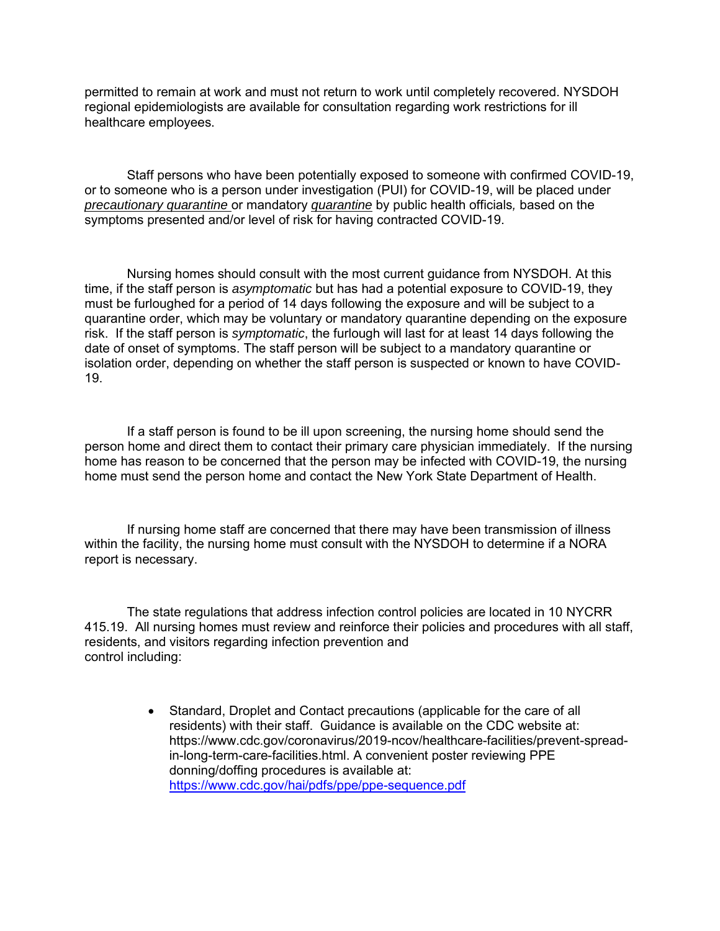permitted to remain at work and must not return to work until completely recovered. NYSDOH regional epidemiologists are available for consultation regarding work restrictions for ill healthcare employees.

Staff persons who have been potentially exposed to someone with confirmed COVID-19, or to someone who is a person under investigation (PUI) for COVID-19, will be placed under *precautionary quarantine* or mandatory *quarantine* by public health officials*,* based on the symptoms presented and/or level of risk for having contracted COVID-19.

Nursing homes should consult with the most current guidance from NYSDOH. At this time, if the staff person is *asymptomatic* but has had a potential exposure to COVID-19, they must be furloughed for a period of 14 days following the exposure and will be subject to a quarantine order, which may be voluntary or mandatory quarantine depending on the exposure risk. If the staff person is *symptomatic*, the furlough will last for at least 14 days following the date of onset of symptoms. The staff person will be subject to a mandatory quarantine or isolation order, depending on whether the staff person is suspected or known to have COVID-19.

If a staff person is found to be ill upon screening, the nursing home should send the person home and direct them to contact their primary care physician immediately. If the nursing home has reason to be concerned that the person may be infected with COVID-19, the nursing home must send the person home and contact the New York State Department of Health.

If nursing home staff are concerned that there may have been transmission of illness within the facility, the nursing home must consult with the NYSDOH to determine if a NORA report is necessary.

The state regulations that address infection control policies are located in 10 NYCRR 415.19. All nursing homes must review and reinforce their policies and procedures with all staff, residents, and visitors regarding infection prevention and control including:

> • Standard, Droplet and Contact precautions (applicable for the care of all residents) with their staff. Guidance is available on the CDC website at: https://www.cdc.gov/coronavirus/2019-ncov/healthcare-facilities/prevent-spreadin-long-term-care-facilities.html. A convenient poster reviewing PPE donning/doffing procedures is available at: <https://www.cdc.gov/hai/pdfs/ppe/ppe-sequence.pdf>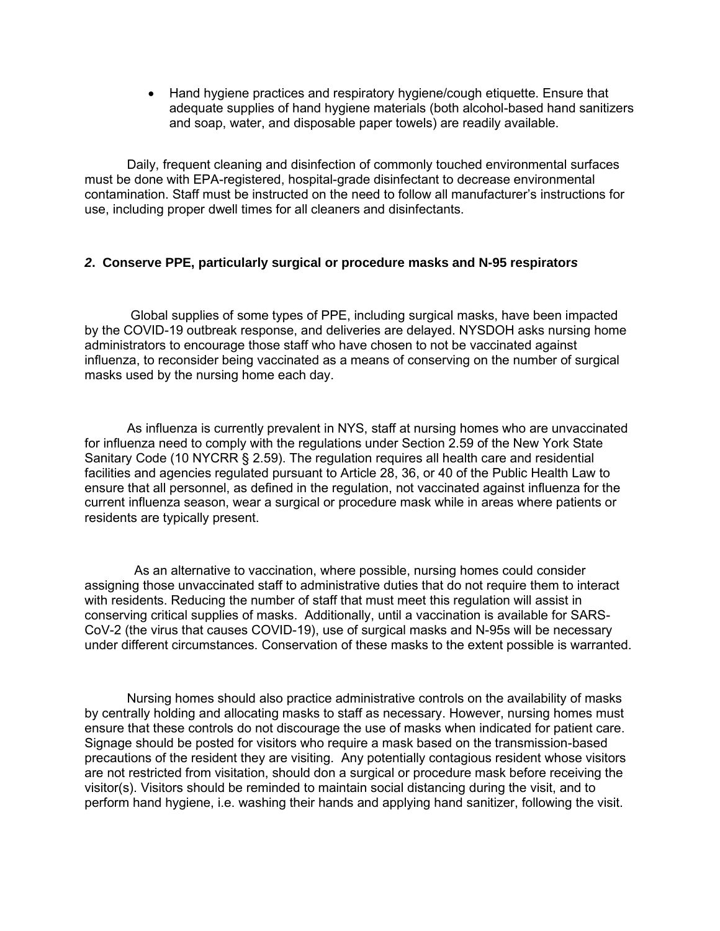• Hand hygiene practices and respiratory hygiene/cough etiquette. Ensure that adequate supplies of hand hygiene materials (both alcohol-based hand sanitizers and soap, water, and disposable paper towels) are readily available.

Daily, frequent cleaning and disinfection of commonly touched environmental surfaces must be done with EPA-registered, hospital-grade disinfectant to decrease environmental contamination. Staff must be instructed on the need to follow all manufacturer's instructions for use, including proper dwell times for all cleaners and disinfectants.

### *2***. Conserve PPE, particularly surgical or procedure masks and N-95 respirator***s*

Global supplies of some types of PPE, including surgical masks, have been impacted by the COVID-19 outbreak response, and deliveries are delayed. NYSDOH asks nursing home administrators to encourage those staff who have chosen to not be vaccinated against influenza, to reconsider being vaccinated as a means of conserving on the number of surgical masks used by the nursing home each day.

As influenza is currently prevalent in NYS, staff at nursing homes who are unvaccinated for influenza need to comply with the regulations under Section 2.59 of the New York State Sanitary Code (10 NYCRR § 2.59). The regulation requires all health care and residential facilities and agencies regulated pursuant to Article 28, 36, or 40 of the Public Health Law to ensure that all personnel, as defined in the regulation, not vaccinated against influenza for the current influenza season, wear a surgical or procedure mask while in areas where patients or residents are typically present.

 As an alternative to vaccination, where possible, nursing homes could consider assigning those unvaccinated staff to administrative duties that do not require them to interact with residents. Reducing the number of staff that must meet this regulation will assist in conserving critical supplies of masks. Additionally, until a vaccination is available for SARS-CoV-2 (the virus that causes COVID-19), use of surgical masks and N-95s will be necessary under different circumstances. Conservation of these masks to the extent possible is warranted.

Nursing homes should also practice administrative controls on the availability of masks by centrally holding and allocating masks to staff as necessary. However, nursing homes must ensure that these controls do not discourage the use of masks when indicated for patient care. Signage should be posted for visitors who require a mask based on the transmission-based precautions of the resident they are visiting. Any potentially contagious resident whose visitors are not restricted from visitation, should don a surgical or procedure mask before receiving the visitor(s). Visitors should be reminded to maintain social distancing during the visit, and to perform hand hygiene, i.e. washing their hands and applying hand sanitizer, following the visit.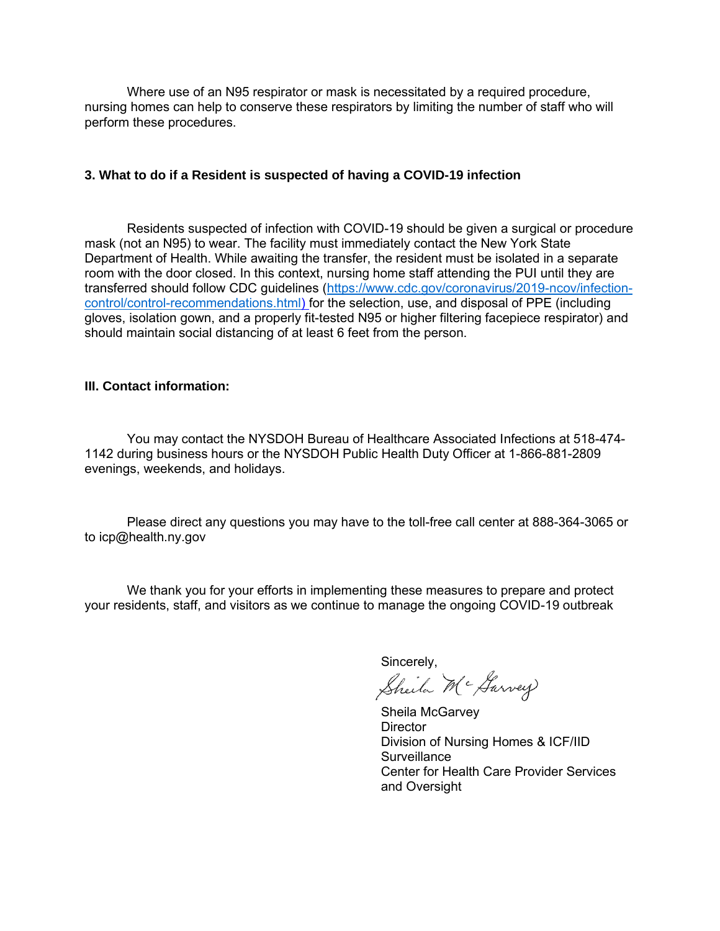Where use of an N95 respirator or mask is necessitated by a required procedure, nursing homes can help to conserve these respirators by limiting the number of staff who will perform these procedures.

# **3. What to do if a Resident is suspected of having a COVID-19 infection**

Residents suspected of infection with COVID-19 should be given a surgical or procedure mask (not an N95) to wear. The facility must immediately contact the New York State Department of Health. While awaiting the transfer, the resident must be isolated in a separate room with the door closed. In this context, nursing home staff attending the PUI until they are transferred should follow CDC guidelines [\(https://www.cdc.gov/coronavirus/2019-ncov/infection](https://www.cdc.gov/coronavirus/2019-ncov/infection-control/control-recommendations.html)[control/control-recommendations.html\)](https://www.cdc.gov/coronavirus/2019-ncov/infection-control/control-recommendations.html) for the selection, use, and disposal of PPE (including gloves, isolation gown, and a properly fit-tested N95 or higher filtering facepiece respirator) and should maintain social distancing of at least 6 feet from the person.

### **III. Contact information:**

You may contact the NYSDOH Bureau of Healthcare Associated Infections at 518-474- 1142 during business hours or the NYSDOH Public Health Duty Officer at 1-866-881-2809 evenings, weekends, and holidays.

Please direct any questions you may have to the toll-free call center at 888-364-3065 or to icp@health.ny.gov

We thank you for your efforts in implementing these measures to prepare and protect your residents, staff, and visitors as we continue to manage the ongoing COVID-19 outbreak

Sincerely,<br>Sheila M<sup>c</sup> Garvey

Sheila McGarvey **Director** Division of Nursing Homes & ICF/IID **Surveillance** Center for Health Care Provider Services and Oversight